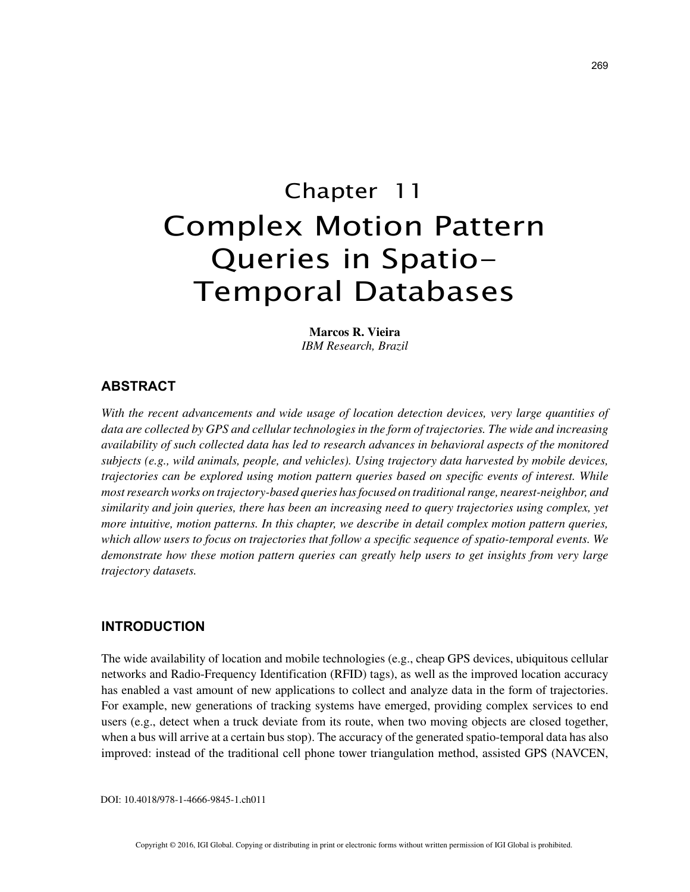# Chapter 11 Complex Motion Pattern Queries in Spatio-Temporal Databases

**Marcos R. Vieira** *IBM Research, Brazil*

## **ABSTRACT**

*With the recent advancements and wide usage of location detection devices, very large quantities of data are collected by GPS and cellular technologies in the form of trajectories. The wide and increasing availability of such collected data has led to research advances in behavioral aspects of the monitored subjects (e.g., wild animals, people, and vehicles). Using trajectory data harvested by mobile devices, trajectories can be explored using motion pattern queries based on specific events of interest. While most research works on trajectory-based queries has focused on traditional range, nearest-neighbor, and similarity and join queries, there has been an increasing need to query trajectories using complex, yet more intuitive, motion patterns. In this chapter, we describe in detail complex motion pattern queries, which allow users to focus on trajectories that follow a specific sequence of spatio-temporal events. We demonstrate how these motion pattern queries can greatly help users to get insights from very large trajectory datasets.*

## **INTRODUCTION**

The wide availability of location and mobile technologies (e.g., cheap GPS devices, ubiquitous cellular networks and Radio-Frequency Identification (RFID) tags), as well as the improved location accuracy has enabled a vast amount of new applications to collect and analyze data in the form of trajectories. For example, new generations of tracking systems have emerged, providing complex services to end users (e.g., detect when a truck deviate from its route, when two moving objects are closed together, when a bus will arrive at a certain bus stop). The accuracy of the generated spatio-temporal data has also improved: instead of the traditional cell phone tower triangulation method, assisted GPS (NAVCEN,

DOI: 10.4018/978-1-4666-9845-1.ch011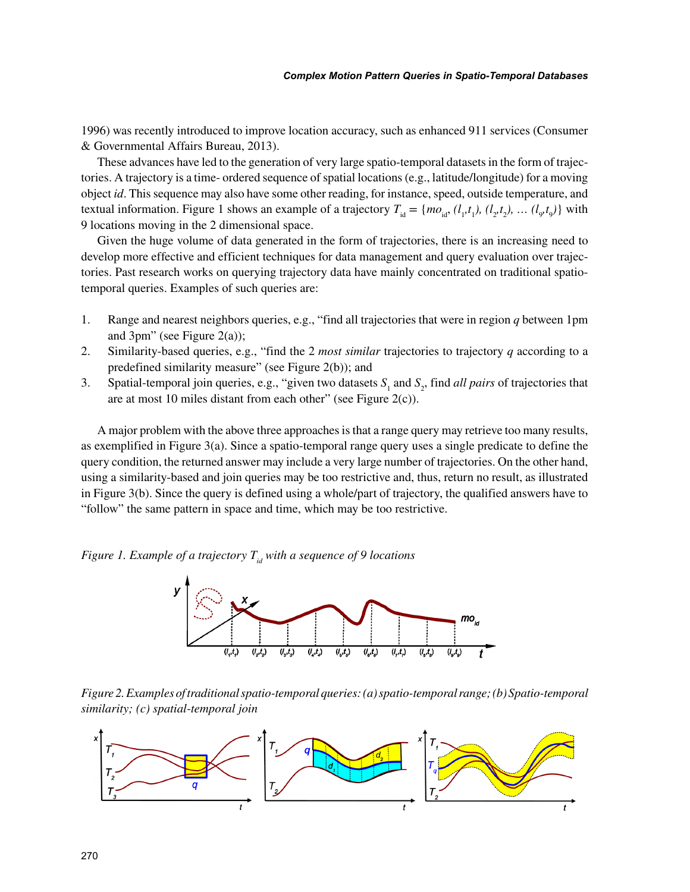1996) was recently introduced to improve location accuracy, such as enhanced 911 services (Consumer & Governmental Affairs Bureau, 2013).

These advances have led to the generation of very large spatio-temporal datasets in the form of trajectories. A trajectory is a time- ordered sequence of spatial locations (e.g., latitude/longitude) for a moving object *id*. This sequence may also have some other reading, for instance, speed, outside temperature, and textual information. Figure 1 shows an example of a trajectory  $T_{id} = \{mo_{id}, (l_1, t_1), (l_2, t_2), \dots (l_g, t_g)\}$  with 9 locations moving in the 2 dimensional space.

Given the huge volume of data generated in the form of trajectories, there is an increasing need to develop more effective and efficient techniques for data management and query evaluation over trajectories. Past research works on querying trajectory data have mainly concentrated on traditional spatiotemporal queries. Examples of such queries are:

- 1. Range and nearest neighbors queries, e.g., "find all trajectories that were in region *q* between 1pm and 3pm" (see Figure 2(a));
- 2. Similarity-based queries, e.g., "find the 2 *most similar* trajectories to trajectory *q* according to a predefined similarity measure" (see Figure 2(b)); and
- 3. Spatial-temporal join queries, e.g., "given two datasets  $S_1$  and  $S_2$ , find *all pairs* of trajectories that are at most 10 miles distant from each other" (see Figure 2(c)).

A major problem with the above three approaches is that a range query may retrieve too many results, as exemplified in Figure 3(a). Since a spatio-temporal range query uses a single predicate to define the query condition, the returned answer may include a very large number of trajectories. On the other hand, using a similarity-based and join queries may be too restrictive and, thus, return no result, as illustrated in Figure 3(b). Since the query is defined using a whole/part of trajectory, the qualified answers have to "follow" the same pattern in space and time, which may be too restrictive.

*Figure 1. Example of a trajectory*  $T_{id}$  with a sequence of 9 locations



*Figure 2. Examples of traditional spatio-temporal queries: (a) spatio-temporal range; (b) Spatio-temporal similarity; (c) spatial-temporal join*